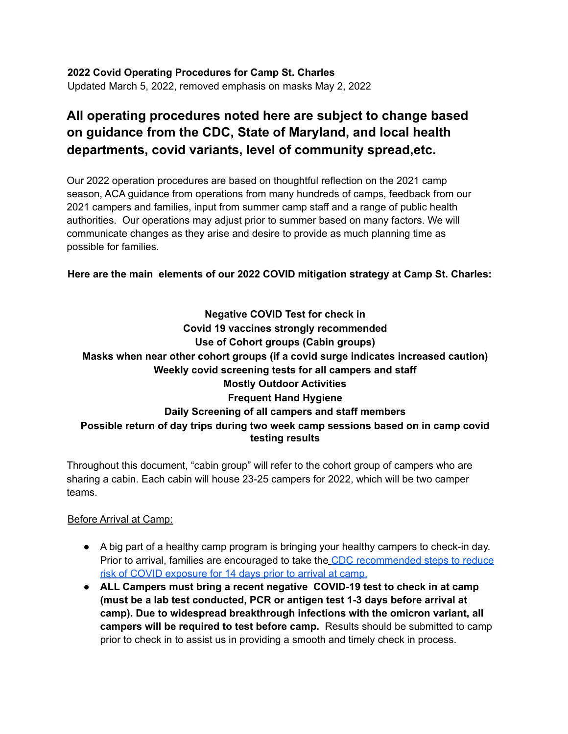**2022 Covid Operating Procedures for Camp St. Charles** Updated March 5, 2022, removed emphasis on masks May 2, 2022

# **All operating procedures noted here are subject to change based on guidance from the CDC, State of Maryland, and local health departments, covid variants, level of community spread,etc.**

Our 2022 operation procedures are based on thoughtful reflection on the 2021 camp season, ACA guidance from operations from many hundreds of camps, feedback from our 2021 campers and families, input from summer camp staff and a range of public health authorities. Our operations may adjust prior to summer based on many factors. We will communicate changes as they arise and desire to provide as much planning time as possible for families.

**Here are the main elements of our 2022 COVID mitigation strategy at Camp St. Charles:**

## **Negative COVID Test for check in Covid 19 vaccines strongly recommended Use of Cohort groups (Cabin groups) Masks when near other cohort groups (if a covid surge indicates increased caution) Weekly covid screening tests for all campers and staff Mostly Outdoor Activities Frequent Hand Hygiene Daily Screening of all campers and staff members Possible return of day trips during two week camp sessions based on in camp covid testing results**

Throughout this document, "cabin group" will refer to the cohort group of campers who are sharing a cabin. Each cabin will house 23-25 campers for 2022, which will be two camper teams.

### Before Arrival at Camp:

- A big part of a healthy camp program is bringing your healthy campers to check-in day. Prior to arrival, families are encouraged to take the CDC recommended steps to reduce risk of COVID exposure for 14 days prior to arrival at camp.
- **ALL Campers must bring a recent negative COVID-19 test to check in at camp (must be a lab test conducted, PCR or antigen test 1-3 days before arrival at camp). Due to widespread breakthrough infections with the omicron variant, all campers will be required to test before camp.** Results should be submitted to camp prior to check in to assist us in providing a smooth and timely check in process.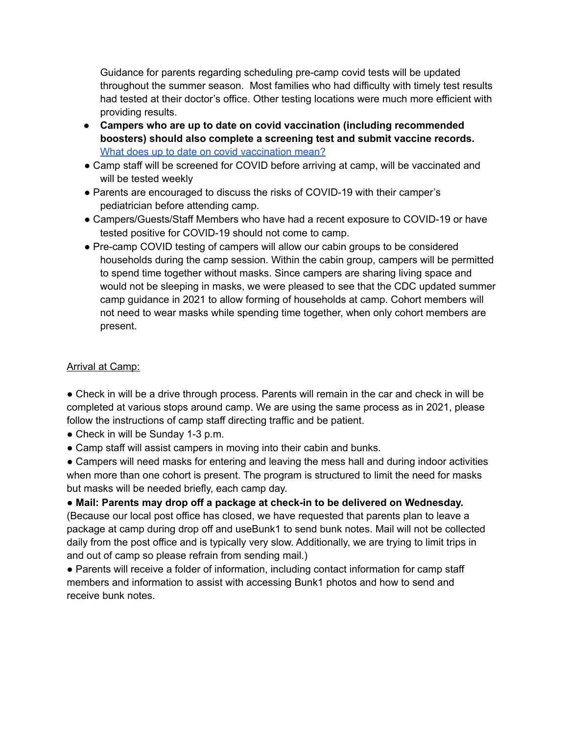Guidance for parents regarding scheduling pre-camp covid tests will be updated throughout the summer season. Most families who had difficulty with timely test results had tested at their doctor's office. Other testing locations were much more efficient with providing results.

- **● Campers who are up to date on covid vaccination (including recommended boosters) should also complete a screening test and submit vaccine records.** What does up to date on covid [vaccination](https://www.cdc.gov/coronavirus/2019-ncov/vaccines/stay-up-to-date.html) mean?
- Camp staff will be screened for COVID before arriving at camp, will be vaccinated and will be tested weekly
- Parents are encouraged to discuss the risks of COVID-19 with their camper's pediatrician before attending camp.
- Campers/Guests/Staff Members who have had a recent exposure to COVID-19 or have tested positive for COVID-19 should not come to camp.
- Pre-camp COVID testing of campers will allow our cabin groups to be considered households during the camp session. Within the cabin group, campers will be permitted to spend time together without masks. Since campers are sharing living space and would not be sleeping in masks, we were pleased to see that the CDC updated summer camp guidance in 2021 to allow forming of households at camp. Cohort members will not need to wear masks while spending time together, when only cohort members are present.

### Arrival at Camp:

● Check in will be a drive through process. Parents will remain in the car and check in will be completed at various stops around camp. We are using the same process as in 2021, please follow the instructions of camp staff directing traffic and be patient.

- Check in will be Sunday 1-3 p.m.
- Camp staff will assist campers in moving into their cabin and bunks.

• Campers will need masks for entering and leaving the mess hall and during indoor activities when more than one cohort is present. The program is structured to limit the need for masks but masks will be needed briefly, each camp day.

● **Mail: Parents may drop off a package at check-in to be delivered on Wednesday.** (Because our local post office has closed, we have requested that parents plan to leave a package at camp during drop off and useBunk1 to send bunk notes. Mail will not be collected daily from the post office and is typically very slow. Additionally, we are trying to limit trips in and out of camp so please refrain from sending mail.)

● Parents will receive a folder of information, including contact information for camp staff members and information to assist with accessing Bunk1 photos and how to send and receive bunk notes.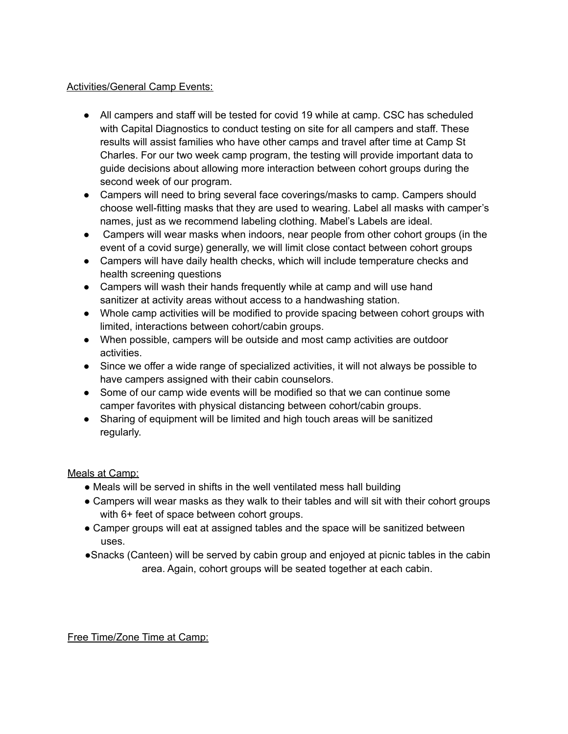#### **Activities/General Camp Events:**

- All campers and staff will be tested for covid 19 while at camp. CSC has scheduled with Capital Diagnostics to conduct testing on site for all campers and staff. These results will assist families who have other camps and travel after time at Camp St Charles. For our two week camp program, the testing will provide important data to guide decisions about allowing more interaction between cohort groups during the second week of our program.
- Campers will need to bring several face coverings/masks to camp. Campers should choose well-fitting masks that they are used to wearing. Label all masks with camper's names, just as we recommend labeling clothing. Mabel's Labels are ideal.
- Campers will wear masks when indoors, near people from other cohort groups (in the event of a covid surge) generally, we will limit close contact between cohort groups
- Campers will have daily health checks, which will include temperature checks and health screening questions
- Campers will wash their hands frequently while at camp and will use hand sanitizer at activity areas without access to a handwashing station.
- Whole camp activities will be modified to provide spacing between cohort groups with limited, interactions between cohort/cabin groups.
- When possible, campers will be outside and most camp activities are outdoor activities.
- Since we offer a wide range of specialized activities, it will not always be possible to have campers assigned with their cabin counselors.
- Some of our camp wide events will be modified so that we can continue some camper favorites with physical distancing between cohort/cabin groups.
- Sharing of equipment will be limited and high touch areas will be sanitized regularly.

### Meals at Camp:

- Meals will be served in shifts in the well ventilated mess hall building
- Campers will wear masks as they walk to their tables and will sit with their cohort groups with 6+ feet of space between cohort groups.
- Camper groups will eat at assigned tables and the space will be sanitized between uses.
- ●Snacks (Canteen) will be served by cabin group and enjoyed at picnic tables in the cabin area. Again, cohort groups will be seated together at each cabin.

Free Time/Zone Time at Camp: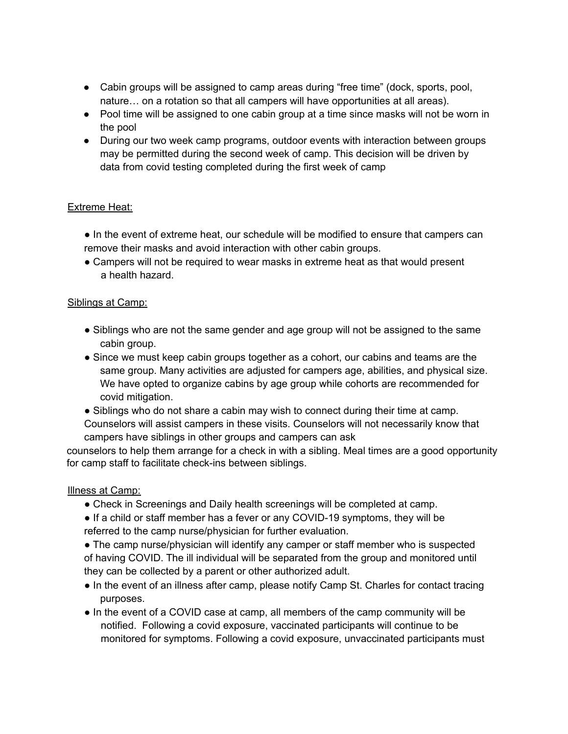- Cabin groups will be assigned to camp areas during "free time" (dock, sports, pool, nature… on a rotation so that all campers will have opportunities at all areas).
- Pool time will be assigned to one cabin group at a time since masks will not be worn in the pool
- During our two week camp programs, outdoor events with interaction between groups may be permitted during the second week of camp. This decision will be driven by data from covid testing completed during the first week of camp

### Extreme Heat:

- In the event of extreme heat, our schedule will be modified to ensure that campers can remove their masks and avoid interaction with other cabin groups.
- Campers will not be required to wear masks in extreme heat as that would present a health hazard.

#### Siblings at Camp:

- Siblings who are not the same gender and age group will not be assigned to the same cabin group.
- Since we must keep cabin groups together as a cohort, our cabins and teams are the same group. Many activities are adjusted for campers age, abilities, and physical size. We have opted to organize cabins by age group while cohorts are recommended for covid mitigation.
- Siblings who do not share a cabin may wish to connect during their time at camp. Counselors will assist campers in these visits. Counselors will not necessarily know that campers have siblings in other groups and campers can ask

counselors to help them arrange for a check in with a sibling. Meal times are a good opportunity for camp staff to facilitate check-ins between siblings.

#### Illness at Camp:

- Check in Screenings and Daily health screenings will be completed at camp.
- If a child or staff member has a fever or any COVID-19 symptoms, they will be referred to the camp nurse/physician for further evaluation.
- The camp nurse/physician will identify any camper or staff member who is suspected of having COVID. The ill individual will be separated from the group and monitored until they can be collected by a parent or other authorized adult.
- In the event of an illness after camp, please notify Camp St. Charles for contact tracing purposes.
- In the event of a COVID case at camp, all members of the camp community will be notified. Following a covid exposure, vaccinated participants will continue to be monitored for symptoms. Following a covid exposure, unvaccinated participants must